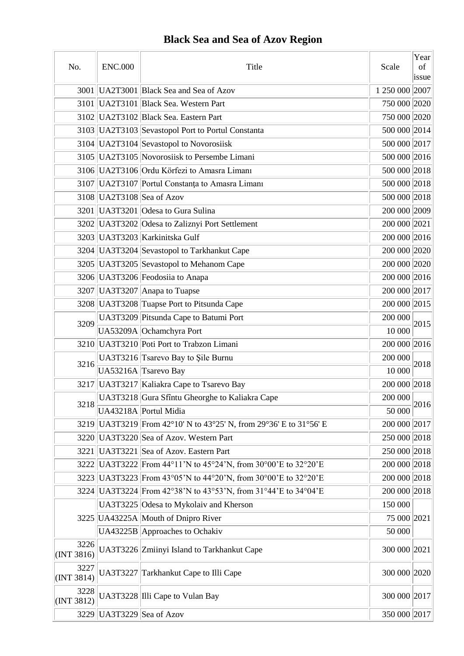# **Black Sea and Sea of Azov Region**

| No.                | <b>ENC.000</b> | Title                                                          | Scale          | Year<br>$\sigma$<br>issue |
|--------------------|----------------|----------------------------------------------------------------|----------------|---------------------------|
|                    |                | 3001 UA2T3001 Black Sea and Sea of Azov                        | 1 250 000 2007 |                           |
|                    |                | 3101 UA2T3101 Black Sea. Western Part                          | 750 000 2020   |                           |
|                    |                | 3102 UA2T3102 Black Sea. Eastern Part                          | 750 000 2020   |                           |
|                    |                | 3103   UA2T3103   Sevastopol Port to Portul Constanta          | 500 000 2014   |                           |
|                    |                | 3104 UA2T3104 Sevastopol to Novorosiisk                        | 500 000 2017   |                           |
|                    |                | 3105 UA2T3105 Novorosiisk to Persembe Limani                   | 500 000 2016   |                           |
|                    |                | 3106 UA2T3106 Ordu Körfezi to Amasra Limani                    | 500 000 2018   |                           |
|                    |                | 3107 UA2T3107 Portul Constanta to Amasra Limani                | 500 000 2018   |                           |
|                    |                | 3108 UA2T3108 Sea of Azov                                      | 500 000 2018   |                           |
|                    |                | 3201   UA3T3201   Odesa to Gura Sulina                         | 200 000 2009   |                           |
|                    |                | 3202 UA3T3202 Odesa to Zaliznyi Port Settlement                | 200 000 2021   |                           |
|                    |                | 3203 UA3T3203 Karkinitska Gulf                                 | 200 000 2016   |                           |
|                    |                | 3204 UA3T3204 Sevastopol to Tarkhankut Cape                    | 200 000 2020   |                           |
|                    |                | 3205   UA3T3205 Sevastopol to Mehanom Cape                     | 200 000 2020   |                           |
|                    |                | 3206 UA3T3206 Feodosiia to Anapa                               | 200 000 2016   |                           |
|                    |                | 3207 UA3T3207 Anapa to Tuapse                                  | 200 000 2017   |                           |
|                    |                | 3208 UA3T3208 Tuapse Port to Pitsunda Cape                     | 200 000 2015   |                           |
|                    |                | UA3T3209 Pitsunda Cape to Batumi Port                          | 200 000        |                           |
| 3209               |                | UA53209A Ochamchyra Port                                       | 10 000         | 2015                      |
|                    |                | 3210 UA3T3210 Poti Port to Trabzon Limani                      | 200 000 2016   |                           |
|                    |                | UA3T3216 Tsarevo Bay to Şile Burnu                             | 200 000        |                           |
| 3216               |                | UA53216A Tsarevo Bay                                           | 10 000         | 2018                      |
|                    |                | 3217 UA3T3217 Kaliakra Cape to Tsarevo Bay                     | 200 000 2018   |                           |
|                    |                | UA3T3218 Gura Sfîntu Gheorghe to Kaliakra Cape                 | 200 000        |                           |
| 3218               |                | UA43218A Portul Midia                                          | 50 000         | 2016                      |
| 3219               |                | UA3T3219  From 42°10' N to 43°25' N, from 29°36' E to 31°56' E | 200 000 2017   |                           |
|                    |                | 3220 UA3T3220 Sea of Azov. Western Part                        | 250 000 2018   |                           |
| 3221               |                | UA3T3221 Sea of Azov. Eastern Part                             | 250 000 2018   |                           |
|                    |                | 3222 UA3T3222 From 44°11'N to 45°24'N, from 30°00'E to 32°20'E | 200 000 2018   |                           |
| 3223               |                | UA3T3223 From 43°05'N to 44°20'N, from 30°00'E to 32°20'E      | 200 000 2018   |                           |
|                    |                | 3224 UA3T3224 From 42°38'N to 43°53'N, from 31°44'E to 34°04'E | 200 000 2018   |                           |
|                    |                | UA3T3225 Odesa to Mykolaiv and Kherson                         | 150 000        |                           |
|                    |                | 3225 UA43225A Mouth of Dnipro River                            | 75 000 2021    |                           |
|                    |                | UA43225B Approaches to Ochakiv                                 | 50 000         |                           |
| 3226<br>(INT 3816) |                | UA3T3226 Zmiinyi Island to Tarkhankut Cape                     | 300 000 2021   |                           |
| 3227<br>(NT 3814)  |                | UA3T3227 Tarkhankut Cape to Illi Cape                          | 300 000 2020   |                           |
| 3228<br>(INT 3812) |                | UA3T3228 Illi Cape to Vulan Bay                                | 300 000 2017   |                           |
| 3229               |                | UA3T3229 Sea of Azov                                           | 350 000 2017   |                           |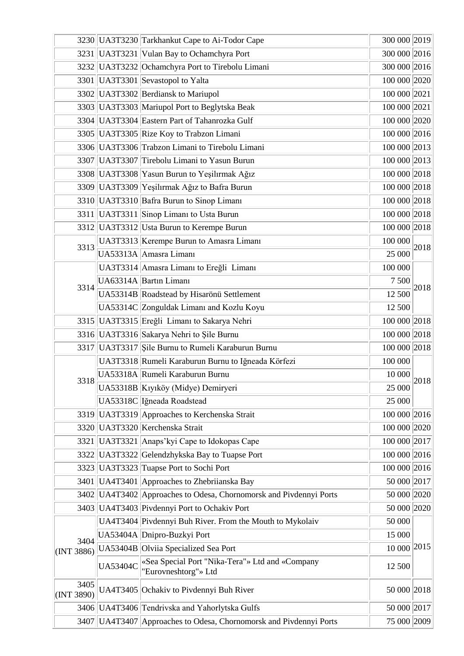|                    |                 | 3230 UA3T3230 Tarkhankut Cape to Ai-Todor Cape                          | 300 000 2019 |      |
|--------------------|-----------------|-------------------------------------------------------------------------|--------------|------|
|                    |                 | 3231 UA3T3231 Vulan Bay to Ochamchyra Port                              | 300 000 2016 |      |
|                    |                 | 3232 UA3T3232 Ochamchyra Port to Tirebolu Limani                        | 300 000 2016 |      |
|                    |                 | 3301 UA3T3301 Sevastopol to Yalta                                       | 100 000 2020 |      |
|                    |                 | 3302 UA3T3302 Berdiansk to Mariupol                                     | 100 000 2021 |      |
|                    |                 | 3303 UA3T3303 Mariupol Port to Beglytska Beak                           | 100 000 2021 |      |
|                    |                 | 3304 UA3T3304 Eastern Part of Tahanrozka Gulf                           | 100 000 2020 |      |
|                    |                 | 3305 UA3T3305 Rize Koy to Trabzon Limani                                | 100 000 2016 |      |
|                    |                 | 3306 UA3T3306 Trabzon Limani to Tirebolu Limani                         | 100 000 2013 |      |
|                    |                 | 3307 UA3T3307 Tirebolu Limani to Yasun Burun                            | 100 000 2013 |      |
|                    |                 | 3308 UA3T3308 Yasun Burun to Yeşilırmak Ağız                            | 100 000 2018 |      |
|                    |                 | 3309 UA3T3309 Yeşilırmak Ağız to Bafra Burun                            | 100 000 2018 |      |
|                    |                 | 3310 UA3T3310 Bafra Burun to Sinop Limani                               | 100 000 2018 |      |
| 3311               |                 | UA3T3311 Sinop Limani to Usta Burun                                     | 100 000 2018 |      |
|                    |                 | 3312 UA3T3312 Usta Burun to Kerempe Burun                               | 100 000 2018 |      |
| 3313               |                 | UA3T3313 Kerempe Burun to Amasra Limani                                 | 100 000      | 2018 |
|                    |                 | UA53313A Amasra Limanı                                                  | 25 000       |      |
|                    |                 | UA3T3314 Amasra Limanı to Ereğli Limanı                                 | 100 000      |      |
| 3314               |                 | UA63314A Bartin Limani                                                  | 7 500        | 2018 |
|                    |                 | UA53314B Roadstead by Hisarönü Settlement                               | 12 500       |      |
|                    |                 | UA53314C Zonguldak Limani and Kozlu Koyu                                | 12 500       |      |
|                    |                 | 3315   UA3T3315   Ereğli Limanı to Sakarya Nehri                        | 100 000 2018 |      |
|                    |                 | 3316 UA3T3316 Sakarya Nehri to Şile Burnu                               | 100 000 2018 |      |
| 3317               |                 | UA3T3317 Şile Burnu to Rumeli Karaburun Burnu                           | 100 000 2018 |      |
|                    |                 | UA3T3318 Rumeli Karaburun Burnu to Iğneada Körfezi                      | 100 000      |      |
|                    |                 | UA53318A Rumeli Karaburun Burnu                                         | 10 000       | 2018 |
| 3318               |                 | UA53318B Kıyıköy (Midye) Demiryeri                                      | 25 000       |      |
|                    |                 | UA53318C Iğneada Roadstead                                              | 25 000       |      |
|                    |                 | 3319 UA3T3319 Approaches to Kerchenska Strait                           | 100 000 2016 |      |
|                    |                 | 3320 UA3T3320 Kerchenska Strait                                         | 100 000 2020 |      |
| 3321               |                 | UA3T3321 Anaps'kyi Cape to Idokopas Cape                                | 100 000 2017 |      |
|                    |                 | 3322 UA3T3322 Gelendzhykska Bay to Tuapse Port                          | 100 000 2016 |      |
|                    |                 | 3323 UA3T3323 Tuapse Port to Sochi Port                                 | 100 000 2016 |      |
|                    |                 | 3401   UA4T3401   Approaches to Zhebriianska Bay                        | 50 000 2017  |      |
|                    |                 | 3402 UA4T3402 Approaches to Odesa, Chornomorsk and Pivdennyi Ports      | 50 000 2020  |      |
|                    |                 | 3403 UA4T3403 Pivdennyi Port to Ochakiv Port                            | 50 000 2020  |      |
|                    |                 | UA4T3404 Pivdennyi Buh River. From the Mouth to Mykolaiv                | 50 000       |      |
|                    |                 | UA53404A Dnipro-Buzkyi Port                                             | 15 000       |      |
| 3404<br>(INT 3886) |                 | UA53404B Olviia Specialized Sea Port                                    | 10 000 2015  |      |
|                    | <b>UA53404C</b> | «Sea Special Port "Nika-Tera"» Ltd and «Company<br>"Eurovneshtorg"» Ltd | 12 500       |      |
| 3405<br>(INT 3890) |                 | UA4T3405 Ochakiv to Pivdennyi Buh River                                 | 50 000 2018  |      |
|                    |                 | 3406 UA4T3406 Tendrivska and Yahorlytska Gulfs                          | 50 000 2017  |      |
| 3407               |                 | UA4T3407 Approaches to Odesa, Chornomorsk and Pivdennyi Ports           | 75 000 2009  |      |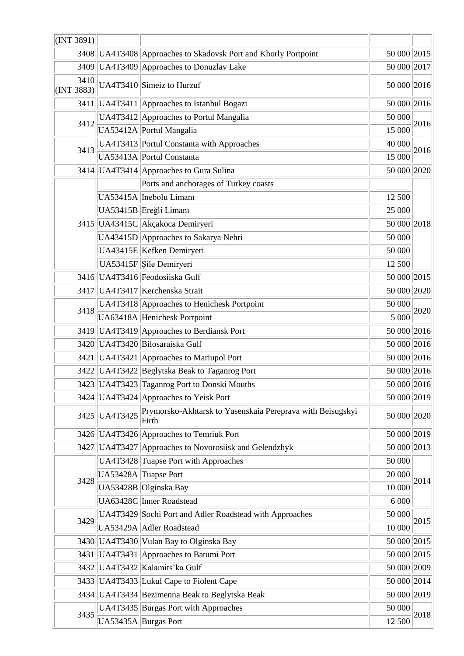| (INT 3891)         |                                           |                                                                     |             |             |  |
|--------------------|-------------------------------------------|---------------------------------------------------------------------|-------------|-------------|--|
|                    |                                           | 3408 UA4T3408 Approaches to Skadovsk Port and Khorly Portpoint      |             | 50 000 2015 |  |
| 3409               |                                           | UA4T3409 Approaches to Donuzlav Lake                                | 50 000 2017 |             |  |
| 3410<br>(INT 3883) |                                           | UA4T3410 Simeiz to Hurzuf                                           | 50 000 2016 |             |  |
|                    |                                           | 3411   UA4T3411   Approaches to Istanbul Bogazi                     | 50 000 2016 |             |  |
|                    |                                           | UA4T3412 Approaches to Portul Mangalia                              | 50 000      |             |  |
| 3412               |                                           | UA53412A Portul Mangalia                                            | 15 000      | 2016        |  |
| 3413               | UA4T3413 Portul Constanta with Approaches |                                                                     | 40 000      | 2016        |  |
|                    |                                           | UA53413A Portul Constanta                                           | 15 000      |             |  |
|                    |                                           | 3414   UA4T3414   Approaches to Gura Sulina                         | 50 000 2020 |             |  |
|                    |                                           | Ports and anchorages of Turkey coasts                               |             |             |  |
|                    |                                           | UA53415A Inebolu Limanı                                             | 12 500      |             |  |
|                    |                                           | UA53415B Ereğli Limanı                                              | 25 000      |             |  |
|                    |                                           | 3415 UA43415C Akçakoca Demiryeri                                    | 50 000 2018 |             |  |
|                    |                                           | UA43415D Approaches to Sakarya Nehri                                | 50 000      |             |  |
|                    |                                           | UA43415E Kefken Demiryeri                                           | 50 000      |             |  |
|                    |                                           | UA53415F Sile Demiryeri                                             | 12 500      |             |  |
|                    |                                           | 3416 UA4T3416 Feodosiiska Gulf                                      | 50 000 2015 |             |  |
| 3417               |                                           | UA4T3417 Kerchenska Strait                                          | 50 000 2020 |             |  |
|                    |                                           | UA4T3418 Approaches to Henichesk Portpoint                          | 50 000      | 2020        |  |
| 3418               |                                           | UA63418A Henichesk Portpoint                                        | 5 000       |             |  |
|                    |                                           | 3419 UA4T3419 Approaches to Berdiansk Port                          | 50 000 2016 |             |  |
|                    |                                           | 3420 UA4T3420 Bilosaraiska Gulf                                     | 50 000 2016 |             |  |
| 3421               |                                           | UA4T3421 Approaches to Mariupol Port                                | 50 000 2016 |             |  |
|                    |                                           | 3422 UA4T3422 Beglytska Beak to Taganrog Port                       | 50 000 2016 |             |  |
|                    |                                           | 3423 UA4T3423 Taganrog Port to Donski Mouths                        | 50 000 2016 |             |  |
|                    |                                           | 3424   UA4T3424   Approaches to Yeisk Port                          | 50 000 2019 |             |  |
| 3425               | <b>UA4T3425</b>                           | Prymorsko-Akhtarsk to Yasenskaia Pereprava with Beisugskyi<br>Firth | 50 000 2020 |             |  |
|                    |                                           | 3426 UA4T3426 Approaches to Temriuk Port                            | 50 000 2019 |             |  |
| 3427               |                                           | UA4T3427 Approaches to Novorosiisk and Gelendzhyk                   | 50 000 2013 |             |  |
|                    |                                           | UA4T3428 Tuapse Port with Approaches                                | 50 000      |             |  |
| 3428               |                                           | UA53428A Tuapse Port                                                | 20 000      | 2014        |  |
|                    |                                           | UA53428B Olginska Bay                                               | 10 000      |             |  |
|                    |                                           | UA63428C Inner Roadstead                                            | 6 0 0 0     |             |  |
| 3429               |                                           | UA4T3429 Sochi Port and Adler Roadstead with Approaches             | 50 000      | 2015        |  |
|                    |                                           | UA53429A Adler Roadstead                                            | 10 000      |             |  |
|                    |                                           | 3430 UA4T3430 Vulan Bay to Olginska Bay                             | 50 000 2015 |             |  |
| 3431               |                                           | UA4T3431 Approaches to Batumi Port                                  | 50 000 2015 |             |  |
|                    |                                           | 3432 UA4T3432 Kalamits' ka Gulf                                     | 50 000 2009 |             |  |
|                    |                                           | 3433 UA4T3433 Lukul Cape to Fiolent Cape                            | 50 000 2014 |             |  |
|                    |                                           | 3434 UA4T3434 Bezimenna Beak to Beglytska Beak                      | 50 000 2019 |             |  |
|                    |                                           | UA4T3435 Burgas Port with Approaches                                | 50 000      |             |  |
| 3435               |                                           | UA53435A Burgas Port                                                | 12 500      | 2018        |  |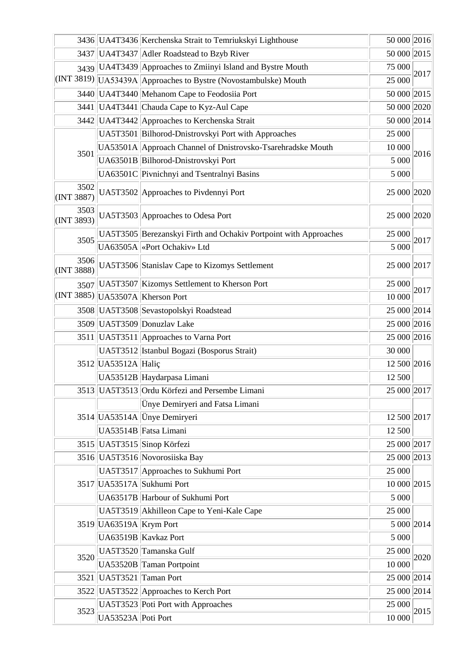|                    |                          | 50 000 2016<br>3436 UA4T3436 Kerchenska Strait to Temriukskyi Lighthouse |             |      |  |
|--------------------|--------------------------|--------------------------------------------------------------------------|-------------|------|--|
|                    |                          | 3437 UA4T3437 Adler Roadstead to Bzyb River                              | 50 000 2015 |      |  |
|                    |                          | 3439 UA4T3439 Approaches to Zmiinyi Island and Bystre Mouth              | 75 000      |      |  |
|                    |                          | (INT 3819) UA53439A Approaches to Bystre (Novostambulske) Mouth          | 25 000      | 2017 |  |
|                    |                          | 3440 UA4T3440 Mehanom Cape to Feodosiia Port                             | 50 000 2015 |      |  |
|                    |                          | 3441   UA4T3441   Chauda Cape to Kyz-Aul Cape                            | 50 000 2020 |      |  |
|                    |                          | 3442 UA4T3442 Approaches to Kerchenska Strait                            | 50 000 2014 |      |  |
|                    |                          | UA5T3501 Bilhorod-Dnistrovskyi Port with Approaches                      | 25 000      |      |  |
| 3501               |                          | UA53501A Approach Channel of Dnistrovsko-Tsarehradske Mouth              |             | 2016 |  |
|                    |                          | UA63501B Bilhorod-Dnistrovskyi Port                                      | 5 000       |      |  |
|                    |                          | UA63501C Pivnichnyi and Tsentralnyi Basins                               | 5 000       |      |  |
| 3502<br>(INT 3887) |                          | UA5T3502 Approaches to Pivdennyi Port                                    | 25 000 2020 |      |  |
| 3503<br>(INT 3893) |                          | UA5T3503 Approaches to Odesa Port                                        | 25 000 2020 |      |  |
| 3505               |                          | UA5T3505 Berezanskyi Firth and Ochakiv Portpoint with Approaches         | 25 000      | 2017 |  |
|                    |                          | UA63505A «Port Ochakiv» Ltd                                              | 5 000       |      |  |
| 3506<br>(INT 3888) |                          | UA5T3506 Stanislav Cape to Kizomys Settlement                            | 25 000 2017 |      |  |
|                    |                          | 3507   UA5T3507   Kizomys Settlement to Kherson Port                     | 25 000      |      |  |
|                    |                          | $\vert$ (INT 3885) $\vert$ UA53507A $\vert$ Kherson Port                 | 10 000      | 2017 |  |
|                    |                          | 3508 UA5T3508 Sevastopolskyi Roadstead                                   | 25 000 2014 |      |  |
|                    |                          | 3509 UA5T3509 Donuzlav Lake                                              | 25 000 2016 |      |  |
|                    |                          | 3511   UA5T3511   Approaches to Varna Port                               | 25 000 2016 |      |  |
|                    |                          | UA5T3512 Istanbul Bogazi (Bosporus Strait)                               |             |      |  |
|                    | 3512 UA53512A Halic      |                                                                          | 12 500 2016 |      |  |
|                    |                          | UA53512B Haydarpasa Limani                                               | 12 500      |      |  |
|                    |                          | 3513 UA5T3513 Ordu Körfezi and Persembe Limani                           | 25 000 2017 |      |  |
|                    |                          | Ünye Demiryeri and Fatsa Limani                                          |             |      |  |
|                    |                          | 3514 UA53514A Ünye Demiryeri                                             | 12 500 2017 |      |  |
|                    |                          | UA53514B Fatsa Limani                                                    | 12 500      |      |  |
|                    |                          | 3515 UA5T3515 Sinop Körfezi                                              | 25 000 2017 |      |  |
|                    |                          | 3516 UA5T3516 Novorosiiska Bay                                           | 25 000 2013 |      |  |
|                    |                          | UA5T3517 Approaches to Sukhumi Port                                      | 25 000      |      |  |
|                    |                          | 3517 UA53517A Sukhumi Port                                               | 10 000 2015 |      |  |
|                    |                          | UA63517B Harbour of Sukhumi Port                                         | 5 000       |      |  |
|                    |                          | UA5T3519 Akhilleon Cape to Yeni-Kale Cape                                | 25 000      |      |  |
|                    | 3519 UA63519A Krym Port  |                                                                          | 5 000 2014  |      |  |
|                    |                          | UA63519B Kavkaz Port                                                     | 5 000       |      |  |
| 3520               |                          | UA5T3520 Tamanska Gulf                                                   | 25 000      | 2020 |  |
|                    |                          | UA53520B Taman Portpoint                                                 | 10 000      |      |  |
|                    | 3521 UA5T3521 Taman Port |                                                                          | 25 000 2014 |      |  |
|                    |                          | 3522 UA5T3522 Approaches to Kerch Port                                   | 25 000 2014 |      |  |
| 3523               |                          | UA5T3523 Poti Port with Approaches                                       | 25 000      | 2015 |  |
|                    | UA53523A Poti Port       |                                                                          | 10 000      |      |  |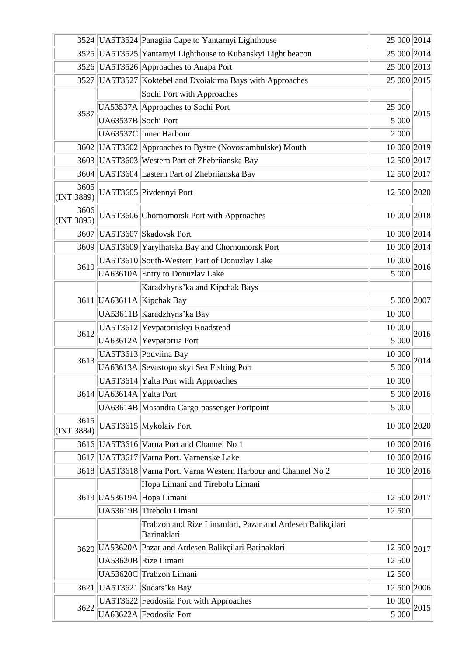|                    |                          | 3524 UA5T3524 Panagiia Cape to Yantarnyi Lighthouse                      | 25 000 2014 |      |
|--------------------|--------------------------|--------------------------------------------------------------------------|-------------|------|
|                    |                          | 3525 UA5T3525 Yantarnyi Lighthouse to Kubanskyi Light beacon             | 25 000 2014 |      |
|                    |                          | 3526 UA5T3526 Approaches to Anapa Port                                   | 25 000 2013 |      |
|                    |                          | 3527 UA5T3527 Koktebel and Dvoiakirna Bays with Approaches               | 25 000 2015 |      |
|                    |                          | Sochi Port with Approaches                                               |             |      |
|                    |                          | UA53537A Approaches to Sochi Port                                        | 25 000      | 2015 |
| 3537               | UA63537B Sochi Port      |                                                                          | 5 000       |      |
|                    | UA63537C Inner Harbour   |                                                                          | 2 000       |      |
|                    |                          | 3602 UA5T3602 Approaches to Bystre (Novostambulske) Mouth                | 10 000 2019 |      |
|                    |                          | 3603 UA5T3603 Western Part of Zhebriianska Bay                           | 12 500 2017 |      |
|                    |                          | 3604 UA5T3604 Eastern Part of Zhebriianska Bay                           | 12 500 2017 |      |
| 3605<br>(INT 3889) |                          | UA5T3605 Pivdennyi Port                                                  | 12 500 2020 |      |
| 3606<br>(INT 3895) |                          | UA5T3606 Chornomorsk Port with Approaches                                | 10 000 2018 |      |
|                    |                          | 3607 UA5T3607 Skadovsk Port                                              | 10 000 2014 |      |
|                    |                          | 3609 UA5T3609 Yarylhatska Bay and Chornomorsk Port                       | 10 000 2014 |      |
| 3610               |                          | UA5T3610 South-Western Part of Donuzlav Lake                             | 10 000      | 2016 |
|                    |                          | UA63610A Entry to Donuzlav Lake                                          | 5 000       |      |
|                    |                          | Karadzhyns'ka and Kipchak Bays                                           |             |      |
|                    |                          | 3611 UA63611A Kipchak Bay                                                | 5 000 2007  |      |
|                    |                          | UA53611B Karadzhyns' ka Bay                                              | 10 000      |      |
| 3612               |                          | UA5T3612 Yevpatoriiskyi Roadstead                                        | 10 000      | 2016 |
|                    |                          | UA63612A Yevpatoriia Port                                                |             |      |
| 3613               |                          | UA5T3613 Podviina Bay                                                    | 10 000      | 2014 |
|                    |                          | UA63613A Sevastopolskyi Sea Fishing Port                                 | 5 000       |      |
|                    |                          | UA5T3614 Yalta Port with Approaches                                      | 10 000      |      |
|                    | 3614 UA63614A Yalta Port |                                                                          | 5 000 2016  |      |
|                    |                          | UA63614B Masandra Cargo-passenger Portpoint                              | 5 000       |      |
| 3615<br>(INT 3884) |                          | UA5T3615 Mykolaiv Port                                                   | 10 000 2020 |      |
|                    |                          | 3616 UA5T3616 Varna Port and Channel No 1                                | 10 000 2016 |      |
|                    |                          | 3617 UA5T3617 Varna Port. Varnenske Lake                                 | 10 000 2016 |      |
|                    |                          | 3618 UA5T3618 Varna Port. Varna Western Harbour and Channel No 2         | 10 000 2016 |      |
|                    |                          | Hopa Limani and Tirebolu Limani                                          |             |      |
|                    |                          | 3619 UA53619A Hopa Limani                                                | 12 500 2017 |      |
|                    |                          | UA53619B Tirebolu Limani                                                 | 12 500      |      |
|                    |                          | Trabzon and Rize Limanlari, Pazar and Ardesen Balikçilari<br>Barinaklari |             |      |
|                    |                          | 3620 UA53620A Pazar and Ardesen Balikçilari Barinaklari                  | 12 500 2017 |      |
|                    |                          | UA53620B Rize Limani                                                     | 12 500      |      |
|                    |                          | UA53620C Trabzon Limani                                                  | 12 500      |      |
|                    |                          | 3621 UA5T3621 Sudats' ka Bay                                             | 12 500 2006 |      |
| 3622               |                          | UA5T3622 Feodosiia Port with Approaches                                  | 10 000      | 2015 |
|                    |                          | UA63622A Feodosiia Port                                                  | 5 000       |      |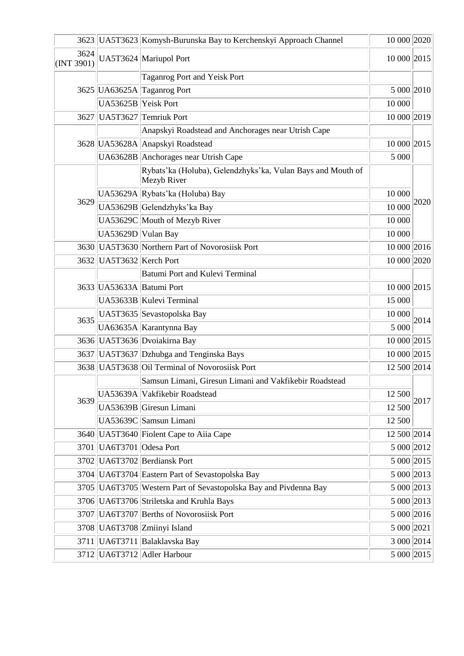|                            |                          | 3623 UA5T3623 Komysh-Burunska Bay to Kerchenskyi Approach Channel          | 10 000 2020 |      |  |
|----------------------------|--------------------------|----------------------------------------------------------------------------|-------------|------|--|
| 3624<br>$\vert$ (INT 3901) |                          | UA5T3624 Mariupol Port                                                     | 10 000 2015 |      |  |
|                            |                          | Taganrog Port and Yeisk Port                                               |             |      |  |
|                            |                          | 3625 UA63625A Taganrog Port                                                | 5 000 2010  |      |  |
|                            | UA53625B Yeisk Port      |                                                                            | 10 000      |      |  |
| 3627                       |                          | UA5T3627 Temriuk Port                                                      | 10 000 2019 |      |  |
|                            |                          | Anapskyi Roadstead and Anchorages near Utrish Cape                         |             |      |  |
|                            |                          | 3628 UA53628A Anapskyi Roadstead                                           | 10 000 2015 |      |  |
|                            |                          | UA63628B Anchorages near Utrish Cape                                       | 5 000       |      |  |
|                            |                          | Rybats'ka (Holuba), Gelendzhyks'ka, Vulan Bays and Mouth of<br>Mezyb River |             |      |  |
|                            |                          | UA53629A Rybats' ka (Holuba) Bay                                           | 10 000      |      |  |
| 3629                       |                          | UA53629B Gelendzhyks' ka Bay                                               | 10 000      | 2020 |  |
|                            |                          | UA53629C Mouth of Mezyb River                                              | 10 000      |      |  |
|                            | UA53629D Vulan Bay       |                                                                            | 10 000      |      |  |
|                            |                          | 3630 UA5T3630 Northern Part of Novorosiisk Port                            | 10 000 2016 |      |  |
|                            | 3632 UA5T3632 Kerch Port |                                                                            | 10 000 2020 |      |  |
|                            |                          | Batumi Port and Kulevi Terminal                                            |             |      |  |
|                            |                          | 3633 UA53633A Batumi Port                                                  | 10 000 2015 |      |  |
|                            |                          | UA53633B Kulevi Terminal                                                   | 15 000      |      |  |
| 3635                       |                          | UA5T3635 Sevastopolska Bay                                                 |             | 2014 |  |
|                            |                          | UA63635A Karantynna Bay                                                    | 5 000       |      |  |
|                            |                          | 3636 UA5T3636 Dvoiakirna Bay                                               | 10 000 2015 |      |  |
|                            |                          | 3637 UA5T3637 Dzhubga and Tenginska Bays                                   | 10 000 2015 |      |  |
|                            |                          | 3638 UA5T3638 Oil Terminal of Novorosiisk Port                             | 12 500 2014 |      |  |
|                            |                          | Samsun Limani, Giresun Limani and Vakfikebir Roadstead                     |             |      |  |
| 3639                       |                          | UA53639A Vakfikebir Roadstead                                              | 12 500      | 2017 |  |
|                            |                          | UA53639B Giresun Limani                                                    | 12 500      |      |  |
|                            |                          | UA53639C Samsun Limani                                                     | 12 500      |      |  |
|                            |                          | 3640 UA5T3640 Fiolent Cape to Aiia Cape                                    | 12 500 2014 |      |  |
|                            | 3701 UA6T3701 Odesa Port |                                                                            | 5 000 2012  |      |  |
|                            |                          | 3702 UA6T3702 Berdiansk Port                                               | 5 000 2015  |      |  |
|                            |                          | 3704 UA6T3704 Eastern Part of Sevastopolska Bay                            | 5 000 2013  |      |  |
|                            |                          | 3705 UA6T3705 Western Part of Sevastopolska Bay and Pivdenna Bay           | 5 000 2013  |      |  |
|                            |                          | 3706 UA6T3706 Striletska and Kruhla Bays                                   | 5 000 2013  |      |  |
|                            |                          | 3707   UA6T3707   Berths of Novorosiisk Port                               | 5 000 2016  |      |  |
|                            |                          | 3708 UA6T3708 Zmiinyi Island                                               | 5 000 2021  |      |  |
|                            |                          | 3711   UA6T3711   Balaklavska Bay                                          | 3 000 2014  |      |  |
|                            |                          | 3712 UA6T3712 Adler Harbour                                                |             |      |  |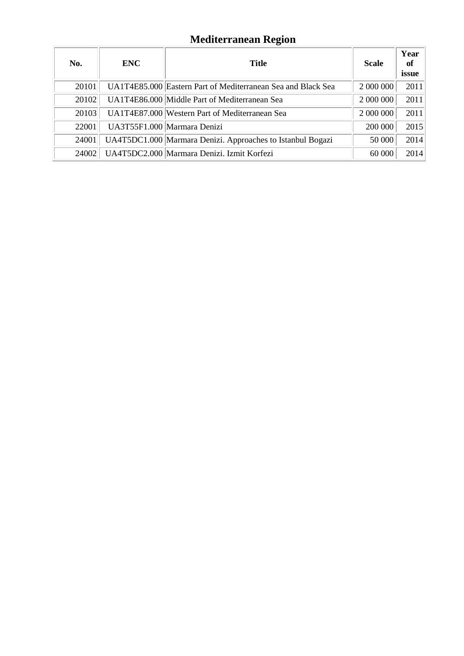# **Mediterranean Region**

| No.   | ENC | <b>Title</b>                                                 | <b>Scale</b> | Year<br>of<br>issue |
|-------|-----|--------------------------------------------------------------|--------------|---------------------|
| 20101 |     | UA1T4E85.000 Eastern Part of Mediterranean Sea and Black Sea | 2 000 000    | 2011                |
| 20102 |     | UA1T4E86.000 Middle Part of Mediterranean Sea                | 2 000 000    | 2011                |
| 20103 |     | UA1T4E87.000 Western Part of Mediterranean Sea               | 2 000 000    | 2011                |
| 22001 |     | UA3T55F1.000 Marmara Denizi                                  | 200 000      | 2015                |
| 24001 |     | UA4T5DC1.000 Marmara Denizi. Approaches to Istanbul Bogazi   | 50 000       | 2014                |
| 24002 |     | UA4T5DC2.000 Marmara Denizi. Izmit Korfezi                   | 60 000       | 2014                |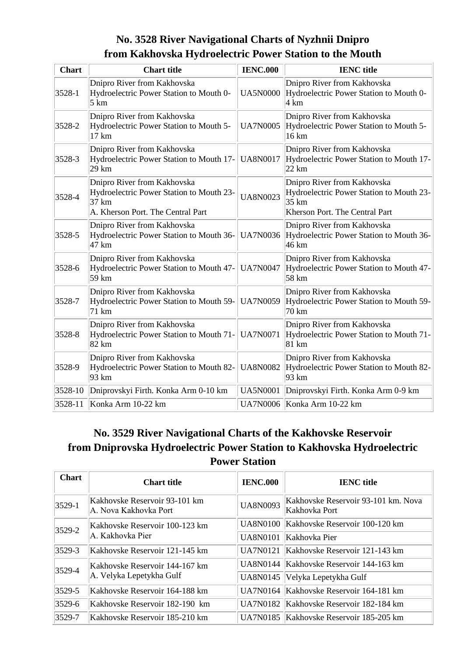### **No. 3528 River Navigational Charts of Nyzhnii Dnipro from Kakhovska Hydroelectric Power Station to the Mouth**

| <b>Chart</b> | <b>Chart</b> title                                                                                                    | <b>IENC.000</b> | <b>IENC</b> title                                                                                                  |
|--------------|-----------------------------------------------------------------------------------------------------------------------|-----------------|--------------------------------------------------------------------------------------------------------------------|
| $3528 - 1$   | Dnipro River from Kakhovska<br>Hydroelectric Power Station to Mouth 0-<br>5 km                                        | <b>UA5N0000</b> | Dnipro River from Kakhovska<br>Hydroelectric Power Station to Mouth 0-<br>4 km                                     |
| 3528-2       | Dnipro River from Kakhovska<br>Hydroelectric Power Station to Mouth 5-<br>17 km                                       | <b>UA7N0005</b> | Dnipro River from Kakhovska<br>Hydroelectric Power Station to Mouth 5-<br>16 km                                    |
| 3528-3       | Dnipro River from Kakhovska<br>Hydroelectric Power Station to Mouth 17-<br>29 km                                      | <b>UA8N0017</b> | Dnipro River from Kakhovska<br>Hydroelectric Power Station to Mouth 17-<br>22 km                                   |
| 3528-4       | Dnipro River from Kakhovska<br>Hydroelectric Power Station to Mouth 23-<br>37 km<br>A. Kherson Port. The Central Part | <b>UA8N0023</b> | Dnipro River from Kakhovska<br>Hydroelectric Power Station to Mouth 23-<br>35 km<br>Kherson Port. The Central Part |
| 3528-5       | Dnipro River from Kakhovska<br>Hydroelectric Power Station to Mouth 36-<br>47 km                                      | <b>UA7N0036</b> | Dnipro River from Kakhovska<br>Hydroelectric Power Station to Mouth 36-<br>46 km                                   |
| 3528-6       | Dnipro River from Kakhovska<br>Hydroelectric Power Station to Mouth 47-<br>59 km                                      | <b>UA7N0047</b> | Dnipro River from Kakhovska<br>Hydroelectric Power Station to Mouth 47-<br>58 km                                   |
| 3528-7       | Dnipro River from Kakhovska<br>Hydroelectric Power Station to Mouth 59-<br>71 km                                      | <b>UA7N0059</b> | Dnipro River from Kakhovska<br>Hydroelectric Power Station to Mouth 59-<br>70 km                                   |
| 3528-8       | Dnipro River from Kakhovska<br>Hydroelectric Power Station to Mouth 71-<br>82 km                                      | <b>UA7N0071</b> | Dnipro River from Kakhovska<br>Hydroelectric Power Station to Mouth 71-<br>81 km                                   |
| 3528-9       | Dnipro River from Kakhovska<br>Hydroelectric Power Station to Mouth 82-<br>93 km                                      | <b>UA8N0082</b> | Dnipro River from Kakhovska<br>Hydroelectric Power Station to Mouth 82-<br>93 km                                   |
| $3528-10$    | Dniprovskyi Firth. Konka Arm 0-10 km                                                                                  | <b>UA5N0001</b> | Dniprovskyi Firth. Konka Arm 0-9 km                                                                                |
| 3528-11      | Konka Arm 10-22 km                                                                                                    |                 | UA7N0006 Konka Arm 10-22 km                                                                                        |

### **No. 3529 River Navigational Charts of the Kakhovske Reservoir from Dniprovska Hydroelectric Power Station to Kakhovska Hydroelectric Power Station**

| <b>Chart</b> | <b>Chart title</b>                                         | <b>IENC.000</b> | <b>IENC</b> title                                    |
|--------------|------------------------------------------------------------|-----------------|------------------------------------------------------|
| $3529 - 1$   | Kakhovske Reservoir 93-101 km<br>A. Nova Kakhovka Port     | <b>UA8N0093</b> | Kakhovske Reservoir 93-101 km. Nova<br>Kakhovka Port |
| $3529 - 2$   | Kakhovske Reservoir 100-123 km<br> A. Kakhovka Pier        | UA8N0100        | Kakhovske Reservoir 100-120 km                       |
|              |                                                            | UA8N0101        | Kakhovka Pier                                        |
| $3529 - 3$   | Kakhovske Reservoir 121-145 km                             | UA7N0121        | Kakhovske Reservoir 121-143 km                       |
| $3529 - 4$   | Kakhovske Reservoir 144-167 km<br>A. Velyka Lepetykha Gulf | UA8N0144        | Kakhovske Reservoir 144-163 km                       |
|              |                                                            | UA8N0145        | Velyka Lepetykha Gulf                                |
| $3529 - 5$   | Kakhovske Reservoir 164-188 km                             | UA7N0164        | Kakhovske Reservoir 164-181 km                       |
| $3529 - 6$   | Kakhovske Reservoir 182-190 km                             | UA7N0182        | Kakhovske Reservoir 182-184 km                       |
| $3529 - 7$   | Kakhovske Reservoir 185-210 km                             |                 | UA7N0185 Kakhovske Reservoir 185-205 km              |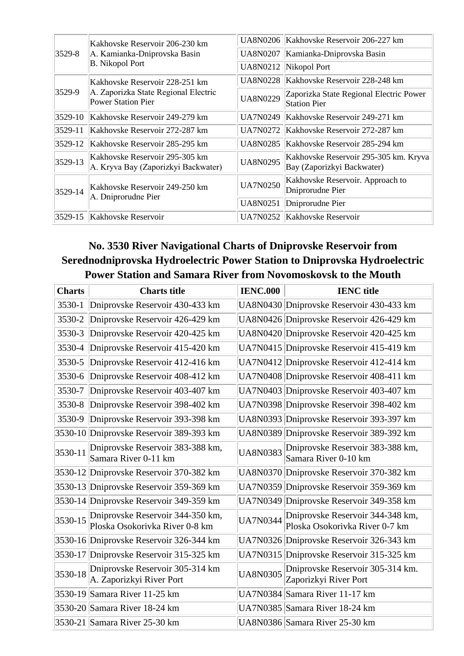|         | Kakhovske Reservoir 206-230 km                                        |                 | UA8N0206 Kakhovske Reservoir 206-227 km                             |
|---------|-----------------------------------------------------------------------|-----------------|---------------------------------------------------------------------|
| 3529-8  | A. Kamianka-Dniprovska Basin<br><b>B.</b> Nikopol Port                | UA8N0207        | Kamianka-Dniprovska Basin                                           |
|         |                                                                       |                 | UA8N0212 Nikopol Port                                               |
|         | Kakhovske Reservoir 228-251 km                                        |                 | UA8N0228   Kakhovske Reservoir 228-248 km                           |
| 3529-9  | A. Zaporizka State Regional Electric<br><b>Power Station Pier</b>     | <b>UA8N0229</b> | Zaporizka State Regional Electric Power<br><b>Station Pier</b>      |
| 3529-10 | Kakhovske Reservoir 249-279 km                                        | UA7N0249        | Kakhovske Reservoir 249-271 km                                      |
| 3529-11 | Kakhovske Reservoir 272-287 km                                        |                 | UA7N0272   Kakhovske Reservoir 272-287 km                           |
| 3529-12 | Kakhovske Reservoir 285-295 km                                        |                 | UA8N0285   Kakhovske Reservoir 285-294 km                           |
| 3529-13 | Kakhovske Reservoir 295-305 km<br>A. Kryva Bay (Zaporizkyi Backwater) | <b>UA8N0295</b> | Kakhovske Reservoir 295-305 km. Kryva<br>Bay (Zaporizkyi Backwater) |
| 3529-14 | Kakhovske Reservoir 249-250 km                                        | <b>UA7N0250</b> | Kakhovske Reservoir. Approach to<br>Dniprorudne Pier                |
|         | A. Dniprorudne Pier                                                   | UA8N0251        | Dniprorudne Pier                                                    |
| 3529-15 | Kakhovske Reservoir                                                   |                 | UA7N0252 Kakhovske Reservoir                                        |

### **No. 3530 River Navigational Charts of Dniprovske Reservoir from Serednodniprovska Hydroelectric Power Station to Dniprovska Hydroelectric Power Station and Samara River from Novomoskovsk to the Mouth**

| <b>Charts</b> | <b>Charts title</b>                                                | <b>IENC.000</b> | <b>IENC</b> title                                                  |
|---------------|--------------------------------------------------------------------|-----------------|--------------------------------------------------------------------|
| 3530-1        | Dniprovske Reservoir 430-433 km                                    |                 | UA8N0430 Dniprovske Reservoir 430-433 km                           |
| 3530-2        | Dniprovske Reservoir 426-429 km                                    |                 | UA8N0426 Dniprovske Reservoir 426-429 km                           |
| 3530-3        | Dniprovske Reservoir 420-425 km                                    |                 | UA8N0420 Dniprovske Reservoir 420-425 km                           |
| 3530-4        | Dniprovske Reservoir 415-420 km                                    |                 | UA7N0415 Dniprovske Reservoir 415-419 km                           |
| 3530-5        | Dniprovske Reservoir 412-416 km                                    |                 | UA7N0412 Dniprovske Reservoir 412-414 km                           |
| 3530-6        | Dniprovske Reservoir 408-412 km                                    |                 | UA7N0408 Dniprovske Reservoir 408-411 km                           |
| 3530-7        | Dniprovske Reservoir 403-407 km                                    |                 | UA7N0403 Dniprovske Reservoir 403-407 km                           |
| 3530-8        | Dniprovske Reservoir 398-402 km                                    |                 | UA7N0398 Dniprovske Reservoir 398-402 km                           |
| 3530-9        | Dniprovske Reservoir 393-398 km                                    |                 | UA8N0393 Dniprovske Reservoir 393-397 km                           |
|               | 3530-10 Dniprovske Reservoir 389-393 km                            |                 | UA8N0389 Dniprovske Reservoir 389-392 km                           |
| 3530-11       | Dniprovske Reservoir 383-388 km,<br>Samara River 0-11 km           | <b>UA8N0383</b> | Dniprovske Reservoir 383-388 km,<br>Samara River 0-10 km           |
|               | 3530-12 Dniprovske Reservoir 370-382 km                            |                 | UA8N0370 Dniprovske Reservoir 370-382 km                           |
|               | 3530-13 Dniprovske Reservoir 359-369 km                            |                 | UA7N0359 Dniprovske Reservoir 359-369 km                           |
|               | 3530-14 Dniprovske Reservoir 349-359 km                            |                 | UA7N0349 Dniprovske Reservoir 349-358 km                           |
| 3530-15       | Dniprovske Reservoir 344-350 km,<br>Ploska Osokorivka River 0-8 km | <b>UA7N0344</b> | Dniprovske Reservoir 344-348 km,<br>Ploska Osokorivka River 0-7 km |
|               | 3530-16 Dniprovske Reservoir 326-344 km                            |                 | UA7N0326 Dniprovske Reservoir 326-343 km                           |
|               | 3530-17 Dniprovske Reservoir 315-325 km                            |                 | UA7N0315 Dniprovske Reservoir 315-325 km                           |
| 3530-18       | Dniprovske Reservoir 305-314 km<br>A. Zaporizkyi River Port        | <b>UA8N0305</b> | Dniprovske Reservoir 305-314 km.<br>Zaporizkyi River Port          |
|               | 3530-19 Samara River 11-25 km                                      |                 | UA7N0384 Samara River 11-17 km                                     |
|               | 3530-20 Samara River 18-24 km                                      |                 | UA7N0385 Samara River 18-24 km                                     |
|               | 3530-21 Samara River 25-30 km                                      |                 | UA8N0386 Samara River 25-30 km                                     |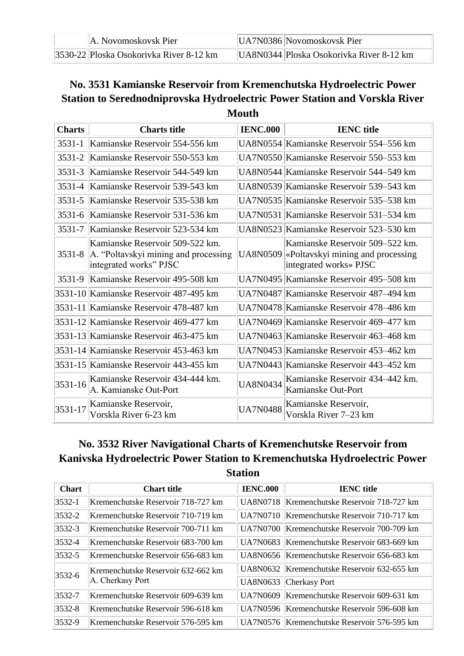| A. Novomoskovsk Pier                     | $\vert$ UA7N0386 $\vert$ Novomoskovsk Pier |
|------------------------------------------|--------------------------------------------|
| 3530-22  Ploska Osokorivka River 8-12 km | UA8N0344   Ploska Osokorivka River 8-12 km |

#### **No. 3531 Kamianske Reservoir from Kremenchutska Hydroelectric Power Station to Serednodniprovska Hydroelectric Power Station and Vorskla River Mouth**

| <b>Charts</b> | <b>Charts title</b>                                                                               | <b>IENC.000</b> | <b>IENC</b> title                                                                              |
|---------------|---------------------------------------------------------------------------------------------------|-----------------|------------------------------------------------------------------------------------------------|
| 3531-1        | Kamianske Reservoir 554-556 km                                                                    |                 | UA8N0554 Kamianske Reservoir 554–556 km                                                        |
| 3531-2        | Kamianske Reservoir 550-553 km                                                                    |                 | UA7N0550 Kamianske Reservoir 550–553 km                                                        |
| 3531-3        | Kamianske Reservoir 544-549 km                                                                    |                 | UA8N0544 Kamianske Reservoir 544–549 km                                                        |
| 3531-4        | Kamianske Reservoir 539-543 km                                                                    |                 | UA8N0539 Kamianske Reservoir 539–543 km                                                        |
| 3531-5        | Kamianske Reservoir 535-538 km                                                                    |                 | UA7N0535 Kamianske Reservoir 535–538 km                                                        |
| $3531 - 6$    | Kamianske Reservoir 531-536 km                                                                    |                 | UA7N0531 Kamianske Reservoir 531–534 km                                                        |
| 3531-7        | Kamianske Reservoir 523-534 km                                                                    |                 | UA8N0523 Kamianske Reservoir 523–530 km                                                        |
| $3531 - 8$    | Kamianske Reservoir 509-522 km.<br>A. "Poltavskyi mining and processing<br>integrated works" PJSC | UA8N0509        | Kamianske Reservoir 509–522 km.<br>«Poltavskyi mining and processing<br>integrated works» PJSC |
|               | 3531-9 Kamianske Reservoir 495-508 km                                                             |                 | UA7N0495 Kamianske Reservoir 495–508 km                                                        |
|               | 3531-10 Kamianske Reservoir 487-495 km                                                            |                 | UA7N0487 Kamianske Reservoir 487–494 km                                                        |
|               | 3531-11 Kamianske Reservoir 478-487 km                                                            |                 | UA7N0478 Kamianske Reservoir 478–486 km                                                        |
|               | 3531-12 Kamianske Reservoir 469-477 km                                                            |                 | UA7N0469 Kamianske Reservoir 469–477 km                                                        |
|               | 3531-13 Kamianske Reservoir 463-475 km                                                            |                 | UA7N0463 Kamianske Reservoir 463–468 km                                                        |
|               | 3531-14 Kamianske Reservoir 453-463 km                                                            |                 | UA7N0453 Kamianske Reservoir 453–462 km                                                        |
|               | 3531-15 Kamianske Reservoir 443-455 km                                                            |                 | UA7N0443 Kamianske Reservoir 443–452 km                                                        |
| 3531-16       | Kamianske Reservoir 434-444 km.<br>A. Kamianske Out-Port                                          | <b>UA8N0434</b> | Kamianske Reservoir 434–442 km.<br>Kamianske Out-Port                                          |
| 3531-17       | Kamianske Reservoir,<br>Vorskla River 6-23 km                                                     | <b>UA7N0488</b> | Kamianske Reservoir,<br>Vorskla River 7–23 km                                                  |

### **No. 3532 River Navigational Charts of Kremenchutske Reservoir from Kanivska Hydroelectric Power Station to Kremenchutska Hydroelectric Power Station**

| <b>Chart</b> | <b>Chart title</b>                                     | <b>IENC.000</b> | <b>IENC</b> title                             |
|--------------|--------------------------------------------------------|-----------------|-----------------------------------------------|
| $ 3532-1 $   | Kremenchutske Reservoir 718-727 km                     |                 | UA8N0718   Kremenchutske Reservoir 718-727 km |
| $3532 - 2$   | Kremenchutske Reservoir 710-719 km                     |                 | UA7N0710 Kremenchutske Reservoir 710-717 km   |
| $3532 - 3$   | Kremenchutske Reservoir 700-711 km                     |                 | UA7N0700 Kremenchutske Reservoir 700-709 km   |
| $ 3532-4 $   | Kremenchutske Reservoir 683-700 km                     |                 | UA7N0683   Kremenchutske Reservoir 683-669 km |
| $3532 - 5$   | Kremenchutske Reservoir 656-683 km                     |                 | UA8N0656   Kremenchutske Reservoir 656-683 km |
| $3532 - 6$   | Kremenchutske Reservoir 632-662 km<br>A. Cherkasy Port |                 | UA8N0632 Kremenchutske Reservoir 632-655 km   |
|              |                                                        |                 | UA8N0633 Cherkasy Port                        |
| $3532 - 7$   | Kremenchutske Reservoir 609-639 km                     |                 | UA7N0609 Kremenchutske Reservoir 609-631 km   |
| $3532 - 8$   | Kremenchutske Reservoir 596-618 km                     |                 | UA7N0596   Kremenchutske Reservoir 596-608 km |
| $3532 - 9$   | Kremenchutske Reservoir 576-595 km                     |                 | UA7N0576 Kremenchutske Reservoir 576-595 km   |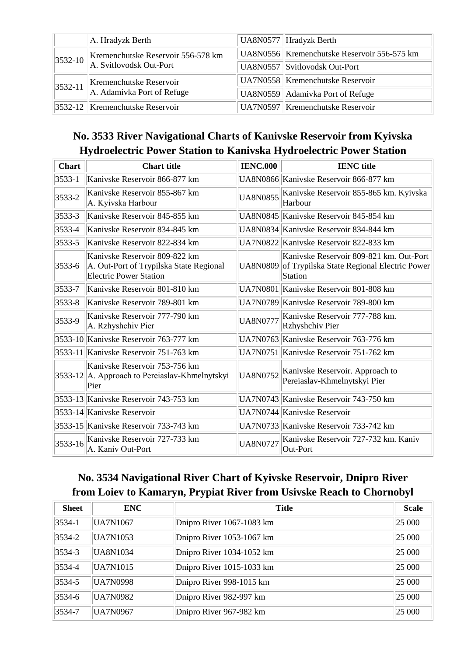|             | A. Hradyzk Berth                                              | UA8N0577 Hradyzk Berth                      |
|-------------|---------------------------------------------------------------|---------------------------------------------|
| $ 3532-10 $ | Kremenchutske Reservoir 556-578 km<br>A. Svitlovodsk Out-Port | UA8N0556 Kremenchutske Reservoir 556-575 km |
|             |                                                               | UA8N0557 Svitlovodsk Out-Port               |
| $ 3532-11 $ | Kremenchutske Reservoir<br>A. Adamivka Port of Refuge         | UA7N0558 Kremenchutske Reservoir            |
|             |                                                               | UA8N0559 Adamivka Port of Refuge            |
|             | $ 3532-12 $ Kremenchutske Reservoir                           | UA7N0597 Kremenchutske Reservoir            |

### **No. 3533 River Navigational Charts of Kanivske Reservoir from Kyivska Hydroelectric Power Station to Kanivska Hydroelectric Power Station**

| <b>Chart</b> | <b>Chart title</b>                                                                                        | <b>IENC.000</b> | <b>IENC</b> title                                                                                         |
|--------------|-----------------------------------------------------------------------------------------------------------|-----------------|-----------------------------------------------------------------------------------------------------------|
| $3533 - 1$   | Kanivske Reservoir 866-877 km                                                                             |                 | UA8N0866 Kanivske Reservoir 866-877 km                                                                    |
| 3533-2       | Kanivske Reservoir 855-867 km<br>A. Kyivska Harbour                                                       | <b>UA8N0855</b> | Kanivske Reservoir 855-865 km. Kyivska<br>Harbour                                                         |
| 3533-3       | Kanivske Reservoir 845-855 km                                                                             |                 | UA8N0845 Kanivske Reservoir 845-854 km                                                                    |
| 3533-4       | Kanivske Reservoir 834-845 km                                                                             |                 | UA8N0834 Kanivske Reservoir 834-844 km                                                                    |
| 3533-5       | Kanivske Reservoir 822-834 km                                                                             |                 | UA7N0822 Kanivske Reservoir 822-833 km                                                                    |
| 3533-6       | Kanivske Reservoir 809-822 km<br>A. Out-Port of Trypilska State Regional<br><b>Electric Power Station</b> |                 | Kanivske Reservoir 809-821 km. Out-Port<br>UA8N0809 of Trypilska State Regional Electric Power<br>Station |
| 3533-7       | Kanivske Reservoir 801-810 km                                                                             |                 | UA7N0801 Kanivske Reservoir 801-808 km                                                                    |
| 3533-8       | Kanivske Reservoir 789-801 km                                                                             |                 | UA7N0789 Kanivske Reservoir 789-800 km                                                                    |
| 3533-9       | Kanivske Reservoir 777-790 km<br>A. Rzhyshchiv Pier                                                       | <b>UA8N0777</b> | Kanivske Reservoir 777-788 km.<br>Rzhyshchiv Pier                                                         |
|              | 3533-10 Kanivske Reservoir 763-777 km                                                                     |                 | UA7N0763 Kanivske Reservoir 763-776 km                                                                    |
|              | 3533-11 Kanivske Reservoir 751-763 km                                                                     |                 | UA7N0751 Kanivske Reservoir 751-762 km                                                                    |
|              | Kanivske Reservoir 753-756 km<br>3533-12 A. Approach to Pereiaslav-Khmelnytskyi<br>Pier                   | <b>UA8N0752</b> | Kanivske Reservoir. Approach to<br>Pereiaslav-Khmelnytskyi Pier                                           |
|              | 3533-13 Kanivske Reservoir 743-753 km                                                                     |                 | UA7N0743 Kanivske Reservoir 743-750 km                                                                    |
|              | 3533-14 Kanivske Reservoir                                                                                |                 | UA7N0744 Kanivske Reservoir                                                                               |
|              | 3533-15 Kanivske Reservoir 733-743 km                                                                     |                 | UA7N0733 Kanivske Reservoir 733-742 km                                                                    |
| 3533-16      | Kanivske Reservoir 727-733 km<br>A. Kaniv Out-Port                                                        | <b>UA8N0727</b> | Kanivske Reservoir 727-732 km. Kaniv<br>Out-Port                                                          |

### **No. 3534 Navigational River Chart of Kyivske Reservoir, Dnipro River from Loiev to Kamaryn, Prypiat River from Usivske Reach to Chornobyl**

| <b>Sheet</b> | <b>ENC</b>      | <b>Title</b>              | <b>Scale</b> |
|--------------|-----------------|---------------------------|--------------|
| $ 3534-1 $   | UA7N1067        | Dnipro River 1067-1083 km | 25 000       |
| $3534 - 2$   | UA7N1053        | Dnipro River 1053-1067 km | 25 000       |
| $3534 - 3$   | UA8N1034        | Dnipro River 1034-1052 km | 25 000       |
| 3534-4       | UA7N1015        | Dnipro River 1015-1033 km | 25 000       |
| $3534 - 5$   | <b>UA7N0998</b> | Dnipro River 998-1015 km  | 25 000       |
| $3534 - 6$   | UA7N0982        | Dnipro River 982-997 km   | 25 000       |
| 3534-7       | <b>UA7N0967</b> | Dnipro River 967-982 km   | 25 000       |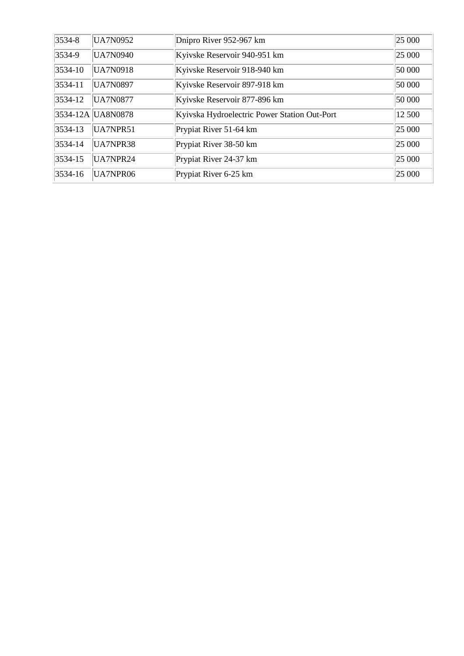| 3534-8      | <b>UA7N0952</b>   | Dnipro River 952-967 km                      | 25 000 |
|-------------|-------------------|----------------------------------------------|--------|
| 3534-9      | <b>UA7N0940</b>   | Kyivske Reservoir 940-951 km                 | 25 000 |
| $ 3534-10 $ | UA7N0918          | Kyivske Reservoir 918-940 km                 | 50 000 |
| $ 3534-11 $ | <b>UA7N0897</b>   | Kyivske Reservoir 897-918 km                 | 50 000 |
| 3534-12     | <b>UA7N0877</b>   | Kyivske Reservoir 877-896 km                 | 50 000 |
|             | 3534-12A UA8N0878 | Kyivska Hydroelectric Power Station Out-Port | 12 500 |
| 3534-13     | UA7NPR51          | Prypiat River 51-64 km                       | 25 000 |
| 3534-14     | UA7NPR38          | Prypiat River 38-50 km                       | 25 000 |
| $3534 - 15$ | UA7NPR24          | Prypiat River 24-37 km                       | 25 000 |
| 3534-16     | UA7NPR06          | Prypiat River 6-25 km                        | 25 000 |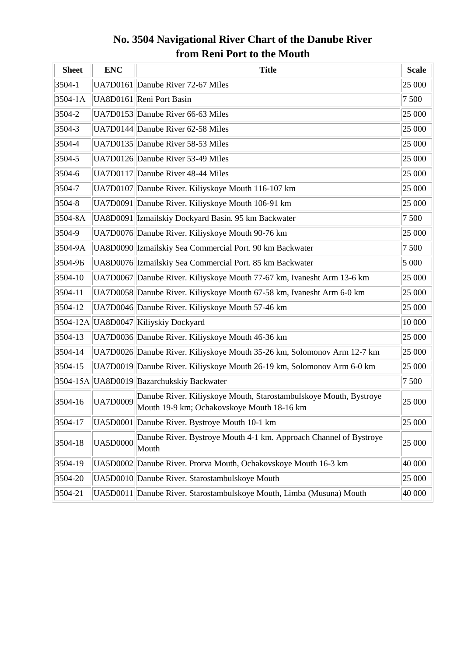### **No. 3504 Navigational River Chart of the Danube River from Reni Port to the Mouth**

| <b>Sheet</b> | <b>ENC</b>      | <b>Title</b>                                                                                                    | <b>Scale</b> |
|--------------|-----------------|-----------------------------------------------------------------------------------------------------------------|--------------|
| $3504 - 1$   |                 | UA7D0161 Danube River 72-67 Miles                                                                               | 25 000       |
| $3504 - 1A$  |                 | UA8D0161 Reni Port Basin                                                                                        | 7 500        |
| $3504 - 2$   |                 | UA7D0153 Danube River 66-63 Miles                                                                               | 25 000       |
| $3504 - 3$   |                 | UA7D0144 Danube River 62-58 Miles                                                                               | 25 000       |
| 3504-4       |                 | UA7D0135 Danube River 58-53 Miles                                                                               | 25 000       |
| $3504 - 5$   |                 | UA7D0126 Danube River 53-49 Miles                                                                               | 25 000       |
| 3504-6       |                 | UA7D0117 Danube River 48-44 Miles                                                                               | 25 000       |
| $3504 - 7$   |                 | UA7D0107 Danube River. Kiliyskoye Mouth 116-107 km                                                              | 25 000       |
| $3504 - 8$   |                 | UA7D0091 Danube River. Kiliyskoye Mouth 106-91 km                                                               | 25 000       |
| 3504-8A      |                 | UA8D0091 Izmailskiy Dockyard Basin. 95 km Backwater                                                             | 7 500        |
| 3504-9       |                 | UA7D0076 Danube River. Kiliyskoye Mouth 90-76 km                                                                | 25 000       |
| 3504-9A      |                 | UA8D0090 Izmailskiy Sea Commercial Port. 90 km Backwater                                                        | 7 500        |
| 3504-9Б      |                 | UA8D0076 Izmailskiy Sea Commercial Port. 85 km Backwater                                                        | 5 000        |
| 3504-10      |                 | UA7D0067 Danube River. Kiliyskoye Mouth 77-67 km, Ivanesht Arm 13-6 km                                          | 25 000       |
| 3504-11      |                 | UA7D0058 Danube River. Kiliyskoye Mouth 67-58 km, Ivanesht Arm 6-0 km                                           | 25 000       |
| 3504-12      |                 | UA7D0046 Danube River. Kiliyskoye Mouth 57-46 km                                                                | 25 000       |
|              |                 | 3504-12A UA8D0047 Kiliyskiy Dockyard                                                                            | 10 000       |
| 3504-13      |                 | UA7D0036 Danube River. Kiliyskoye Mouth 46-36 km                                                                | 25 000       |
| $ 3504-14 $  |                 | UA7D0026 Danube River. Kiliyskoye Mouth 35-26 km, Solomonov Arm 12-7 km                                         | 25 000       |
| 3504-15      |                 | UA7D0019 Danube River. Kiliyskoye Mouth 26-19 km, Solomonov Arm 6-0 km                                          | 25 000       |
|              |                 | 3504-15A UA8D0019 Bazarchukskiy Backwater                                                                       | 7500         |
| $ 3504-16$   | <b>UA7D0009</b> | Danube River. Kiliyskoye Mouth, Starostambulskoye Mouth, Bystroye<br>Mouth 19-9 km; Ochakovskoye Mouth 18-16 km | 25 000       |
| 3504-17      |                 | UA5D0001 Danube River. Bystroye Mouth 10-1 km                                                                   | 25 000       |
| $ 3504-18$   | <b>UA5D0000</b> | Danube River. Bystroye Mouth 4-1 km. Approach Channel of Bystroye<br>Mouth                                      | 25 000       |
| 3504-19      |                 | UA5D0002 Danube River. Prorva Mouth, Ochakovskoye Mouth 16-3 km                                                 | 40 000       |
| 3504-20      |                 | UA5D0010 Danube River. Starostambulskoye Mouth                                                                  | 25 000       |
| 3504-21      |                 | UA5D0011 Danube River. Starostambulskoye Mouth, Limba (Musuna) Mouth                                            | 40 000       |